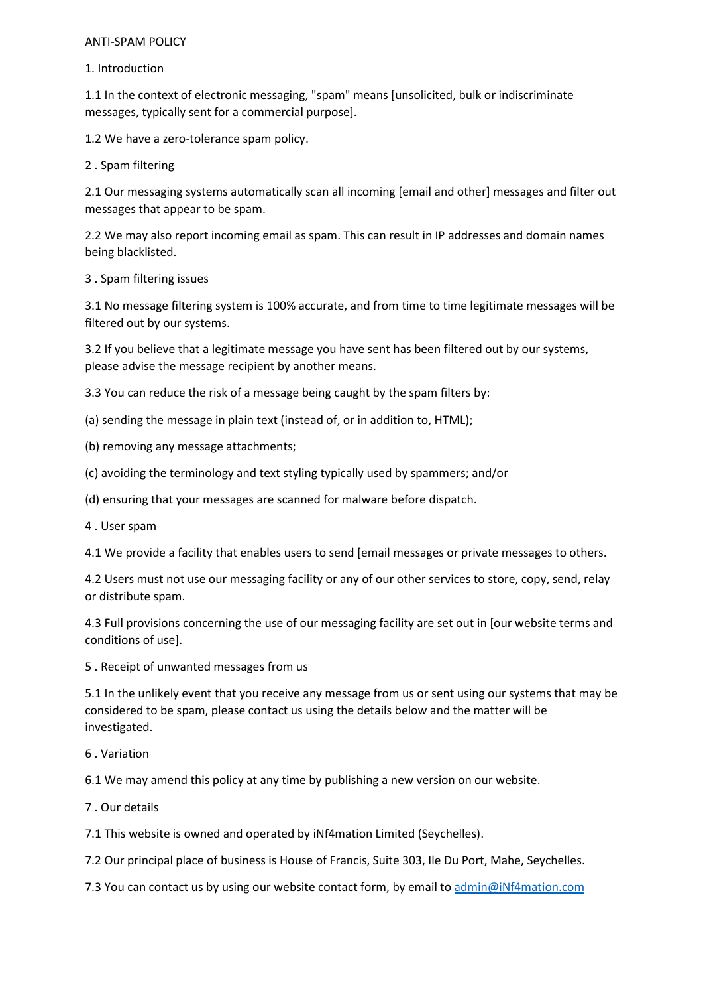## ANTI-SPAM POLICY

## 1. Introduction

1.1 In the context of electronic messaging, "spam" means [unsolicited, bulk or indiscriminate messages, typically sent for a commercial purpose].

1.2 We have a zero-tolerance spam policy.

2 . Spam filtering

2.1 Our messaging systems automatically scan all incoming [email and other] messages and filter out messages that appear to be spam.

2.2 We may also report incoming email as spam. This can result in IP addresses and domain names being blacklisted.

## 3 . Spam filtering issues

3.1 No message filtering system is 100% accurate, and from time to time legitimate messages will be filtered out by our systems.

3.2 If you believe that a legitimate message you have sent has been filtered out by our systems, please advise the message recipient by another means.

3.3 You can reduce the risk of a message being caught by the spam filters by:

- (a) sending the message in plain text (instead of, or in addition to, HTML);
- (b) removing any message attachments;
- (c) avoiding the terminology and text styling typically used by spammers; and/or
- (d) ensuring that your messages are scanned for malware before dispatch.
- 4 . User spam

4.1 We provide a facility that enables users to send [email messages or private messages to others.

4.2 Users must not use our messaging facility or any of our other services to store, copy, send, relay or distribute spam.

4.3 Full provisions concerning the use of our messaging facility are set out in [our website terms and conditions of use].

5 . Receipt of unwanted messages from us

5.1 In the unlikely event that you receive any message from us or sent using our systems that may be considered to be spam, please contact us using the details below and the matter will be investigated.

6 . Variation

6.1 We may amend this policy at any time by publishing a new version on our website.

7 . Our details

7.1 This website is owned and operated by iNf4mation Limited (Seychelles).

7.2 Our principal place of business is House of Francis, Suite 303, Ile Du Port, Mahe, Seychelles.

7.3 You can contact us by using our website contact form, by email to admin@iNf4mation.com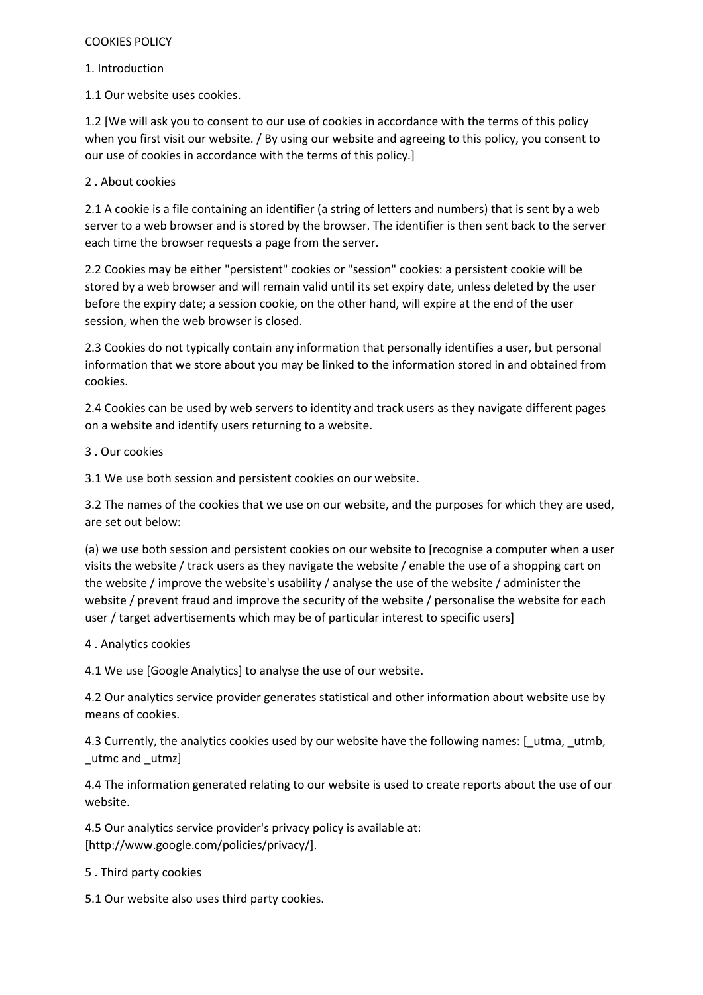## COOKIES POLICY

1. Introduction

1.1 Our website uses cookies.

1.2 [We will ask you to consent to our use of cookies in accordance with the terms of this policy when you first visit our website. / By using our website and agreeing to this policy, you consent to our use of cookies in accordance with the terms of this policy.]

2 . About cookies

2.1 A cookie is a file containing an identifier (a string of letters and numbers) that is sent by a web server to a web browser and is stored by the browser. The identifier is then sent back to the server each time the browser requests a page from the server.

2.2 Cookies may be either "persistent" cookies or "session" cookies: a persistent cookie will be stored by a web browser and will remain valid until its set expiry date, unless deleted by the user before the expiry date; a session cookie, on the other hand, will expire at the end of the user session, when the web browser is closed.

2.3 Cookies do not typically contain any information that personally identifies a user, but personal information that we store about you may be linked to the information stored in and obtained from cookies.

2.4 Cookies can be used by web servers to identity and track users as they navigate different pages on a website and identify users returning to a website.

3 . Our cookies

3.1 We use both session and persistent cookies on our website.

3.2 The names of the cookies that we use on our website, and the purposes for which they are used, are set out below:

(a) we use both session and persistent cookies on our website to [recognise a computer when a user visits the website / track users as they navigate the website / enable the use of a shopping cart on the website / improve the website's usability / analyse the use of the website / administer the website / prevent fraud and improve the security of the website / personalise the website for each user / target advertisements which may be of particular interest to specific users]

4 . Analytics cookies

4.1 We use [Google Analytics] to analyse the use of our website.

4.2 Our analytics service provider generates statistical and other information about website use by means of cookies.

4.3 Currently, the analytics cookies used by our website have the following names: [\_utma, \_utmb, \_utmc and \_utmz]

4.4 The information generated relating to our website is used to create reports about the use of our website.

4.5 Our analytics service provider's privacy policy is available at: [http://www.google.com/policies/privacy/].

5 . Third party cookies

5.1 Our website also uses third party cookies.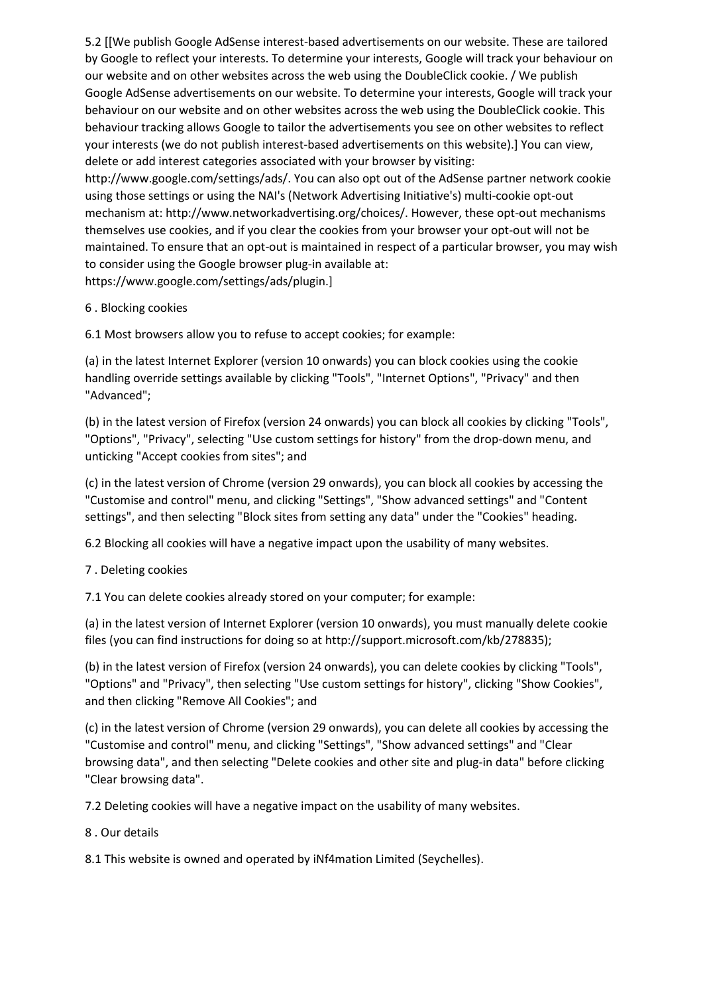5.2 [[We publish Google AdSense interest-based advertisements on our website. These are tailored by Google to reflect your interests. To determine your interests, Google will track your behaviour on our website and on other websites across the web using the DoubleClick cookie. / We publish Google AdSense advertisements on our website. To determine your interests, Google will track your behaviour on our website and on other websites across the web using the DoubleClick cookie. This behaviour tracking allows Google to tailor the advertisements you see on other websites to reflect your interests (we do not publish interest-based advertisements on this website).] You can view, delete or add interest categories associated with your browser by visiting: http://www.google.com/settings/ads/. You can also opt out of the AdSense partner network cookie using those settings or using the NAI's (Network Advertising Initiative's) multi-cookie opt-out mechanism at: http://www.networkadvertising.org/choices/. However, these opt-out mechanisms themselves use cookies, and if you clear the cookies from your browser your opt-out will not be maintained. To ensure that an opt-out is maintained in respect of a particular browser, you may wish to consider using the Google browser plug-in available at: https://www.google.com/settings/ads/plugin.]

6 . Blocking cookies

6.1 Most browsers allow you to refuse to accept cookies; for example:

(a) in the latest Internet Explorer (version 10 onwards) you can block cookies using the cookie handling override settings available by clicking "Tools", "Internet Options", "Privacy" and then "Advanced";

(b) in the latest version of Firefox (version 24 onwards) you can block all cookies by clicking "Tools", "Options", "Privacy", selecting "Use custom settings for history" from the drop-down menu, and unticking "Accept cookies from sites"; and

(c) in the latest version of Chrome (version 29 onwards), you can block all cookies by accessing the "Customise and control" menu, and clicking "Settings", "Show advanced settings" and "Content settings", and then selecting "Block sites from setting any data" under the "Cookies" heading.

6.2 Blocking all cookies will have a negative impact upon the usability of many websites.

7 . Deleting cookies

7.1 You can delete cookies already stored on your computer; for example:

(a) in the latest version of Internet Explorer (version 10 onwards), you must manually delete cookie files (you can find instructions for doing so at http://support.microsoft.com/kb/278835);

(b) in the latest version of Firefox (version 24 onwards), you can delete cookies by clicking "Tools", "Options" and "Privacy", then selecting "Use custom settings for history", clicking "Show Cookies", and then clicking "Remove All Cookies"; and

(c) in the latest version of Chrome (version 29 onwards), you can delete all cookies by accessing the "Customise and control" menu, and clicking "Settings", "Show advanced settings" and "Clear browsing data", and then selecting "Delete cookies and other site and plug-in data" before clicking "Clear browsing data".

7.2 Deleting cookies will have a negative impact on the usability of many websites.

8 . Our details

8.1 This website is owned and operated by iNf4mation Limited (Seychelles).